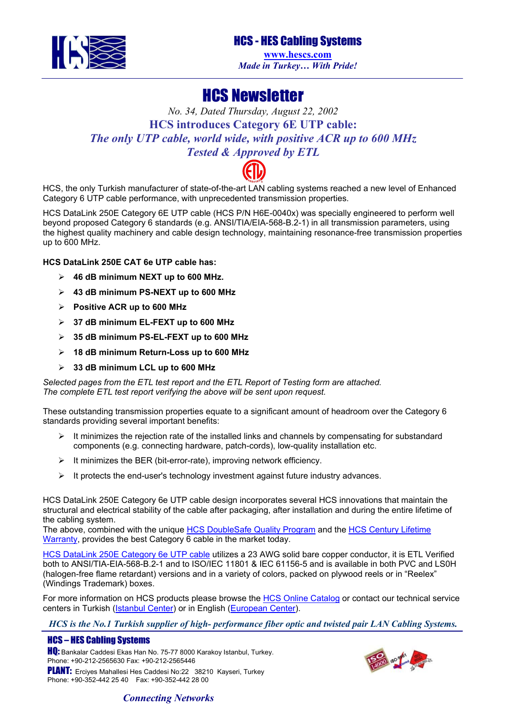

# HCS - HES Cabling Systems

**[www.hescs.com](http://www.hescs.com/)** *Made in Turkey… With Pride!*

# HCS Newsletter

# *No. 34, Dated Thursday, August 22, 2002* **HCS introduces Category 6E UTP cable:**  *The only UTP cable, world wide, with positive ACR up to 600 MHz Tested & Approved by ETL*



HCS, the only Turkish manufacturer of state-of-the-art LAN cabling systems reached a new level of Enhanced Category 6 UTP cable performance, with unprecedented transmission properties.

HCS DataLink 250E Category 6E UTP cable (HCS P/N H6E-0040x) was specially engineered to perform well beyond proposed Category 6 standards (e.g. ANSI/TIA/EIA-568-B.2-1) in all transmission parameters, using the highest quality machinery and cable design technology, maintaining resonance-free transmission properties up to 600 MHz.

#### **HCS DataLink 250E CAT 6e UTP cable has:**

- ¾ **46 dB minimum NEXT up to 600 MHz.**
- ¾ **43 dB minimum PS-NEXT up to 600 MHz**
- ¾ **Positive ACR up to 600 MHz**
- ¾ **37 dB minimum EL-FEXT up to 600 MHz**
- ¾ **35 dB minimum PS-EL-FEXT up to 600 MHz**
- ¾ **18 dB minimum Return-Loss up to 600 MHz**
- ¾ **33 dB minimum LCL up to 600 MHz**

*Selected pages from the ETL test report and the ETL Report of Testing form are attached. The complete ETL test report verifying the above will be sent upon request.* 

These outstanding transmission properties equate to a significant amount of headroom over the Category 6 standards providing several important benefits:

- It minimizes the rejection rate of the installed links and channels by compensating for substandard components (e.g. connecting hardware, patch-cords), low-quality installation etc.
- $\triangleright$  It minimizes the BER (bit-error-rate), improving network efficiency.
- $\triangleright$  It protects the end-user's technology investment against future industry advances.

HCS DataLink 250E Category 6e UTP cable design incorporates several HCS innovations that maintain the structural and electrical stability of the cable after packaging, after installation and during the entire lifetime of the cabling system.

The above, combined with the unique [HCS DoubleSafe Quality Program](http://www.hescs.com/en/quality.asp) and the HCS Century Lifetime [Warranty](http://www.hescs.com/en/warranty.asp), provides the best Category 6 cable in the market today.

[HCS DataLink 250E Category 6e UTP cable](http://www.hescs.com/catalog/catalog.asp?id=18) utilizes a 23 AWG solid bare copper conductor, it is ETL Verified both to ANSI/TIA-EIA-568-B.2-1 and to ISO/IEC 11801 & IEC 61156-5 and is available in both PVC and LS0H (halogen-free flame retardant) versions and in a variety of colors, packed on plywood reels or in "Reelex" (Windings Trademark) boxes.

For more information on HCS products please browse the [HCS Online Catalog](http://www.hescs.com/catalog/index.asp) or contact our technical service centers in Turkish ([Istanbul Center\)](mailto:info@hescs.com) or in English [\(European Center](mailto:hcs-dk@hescs.com)).

*HCS is the No.1 Turkish supplier of high- performance fiber optic and twisted pair LAN Cabling Systems.* 

## HCS – HES Cabling Systems

**HQ:** Bankalar Caddesi Ekas Han No. 75-77 8000 Karakoy Istanbul, Turkey. Phone: +90-212-2565630 Fax: +90-212-2565446 PLANT: Erciyes Mahallesi Hes Caddesi No:22 38210 Kayseri, Turkey Phone: +90-352-442 25 40 Fax: +90-352-442 28 00



## *Connecting Networks*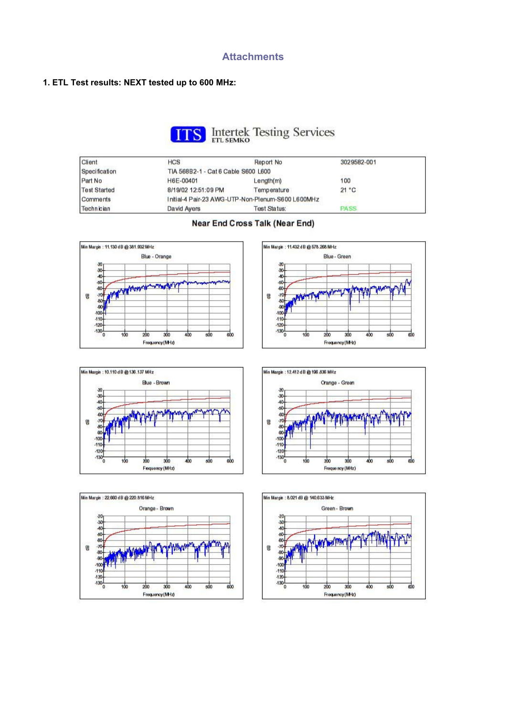### **Attachments**

#### **1. ETL Test results: NEXT tested up to 600 MHz:**



| Client              | <b>HCS</b>                                        | Report No.   | 3029582-001 |  |  |
|---------------------|---------------------------------------------------|--------------|-------------|--|--|
| Specification       | TIA 568B2-1 - Cat 6 Cable S600 L600<br>anasa y    |              |             |  |  |
| Part No             | H6E-00401                                         | Length(m)    | 100         |  |  |
| <b>Test Started</b> | 8/19/02 12:51:09 PM                               | Temperature  | 21 °C       |  |  |
| Comments            | Initial-4 Pair-23 AWG-UTP-Non-Plenum-S600 L600MHz |              |             |  |  |
| Technician          | David Ayers                                       | Test Status: | PASS        |  |  |













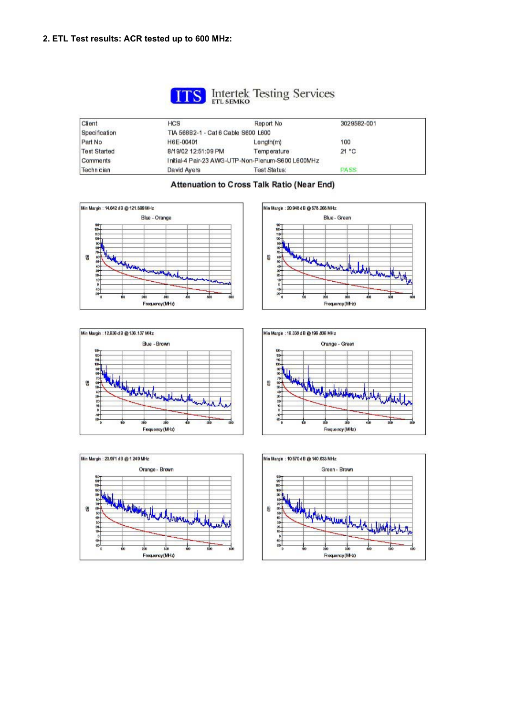

# **S** Intertek Testing Services

| Client              | <b>HCS</b>                                        | Report No.          | 3029582-001    |  |  |
|---------------------|---------------------------------------------------|---------------------|----------------|--|--|
| Specification       | TIA 568B2-1 - Cat 6 Cable S600 L600               |                     |                |  |  |
| Part No             | H6E-00401                                         | Length(m)           | anasa s<br>100 |  |  |
| <b>Test Started</b> | 8/19/02 12:51:09 PM                               | Temperature         | 21 °C          |  |  |
| Comments            | Initial-4 Pair-23 AWG-UTP-Non-Plenum-S600 L600MHz |                     |                |  |  |
| Technician          | David Ayers                                       | <b>Test Status:</b> | <b>PASS</b>    |  |  |



#### Min Margin : 20.948 dB @ 578.268 MHz Blue - Green BD<br>110 명 五人 July wound go  $\frac{1}{x}$ 10 4D<br>20 sh. Frequency (MHz)









### Attenuation to Cross Talk Ratio (Near End)